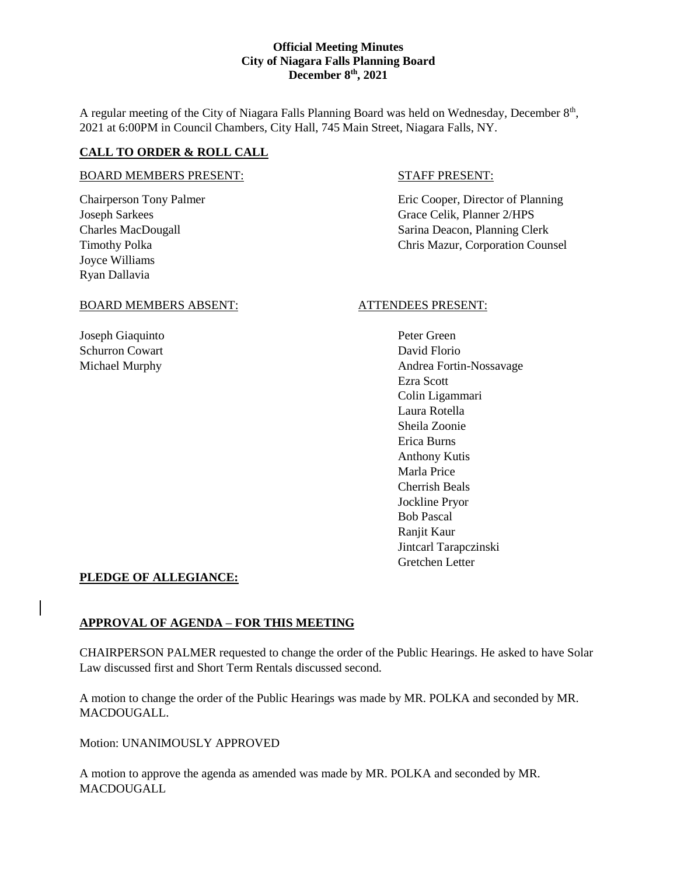A regular meeting of the City of Niagara Falls Planning Board was held on Wednesday, December 8<sup>th</sup>, 2021 at 6:00PM in Council Chambers, City Hall, 745 Main Street, Niagara Falls, NY.

# **CALL TO ORDER & ROLL CALL**

# BOARD MEMBERS PRESENT: STAFF PRESENT:

Joyce Williams Ryan Dallavia

Chairperson Tony Palmer **Example 2** Eric Cooper, Director of Planning Joseph Sarkees Grace Celik, Planner 2/HPS Charles MacDougall Sarina Deacon, Planning Clerk Timothy Polka **Chris Mazur, Corporation Counsel** 

#### BOARD MEMBERS ABSENT: ATTENDEES PRESENT:

Joseph Giaquinto Peter Green Schurron Cowart David Florio

Michael Murphy **Andrea Fortin-Nossavage** Andrea Fortin-Nossavage Ezra Scott Colin Ligammari Laura Rotella Sheila Zoonie Erica Burns Anthony Kutis Marla Price Cherrish Beals Jockline Pryor Bob Pascal Ranjit Kaur Jintcarl Tarapczinski Gretchen Letter

# **PLEDGE OF ALLEGIANCE:**

# **APPROVAL OF AGENDA – FOR THIS MEETING**

CHAIRPERSON PALMER requested to change the order of the Public Hearings. He asked to have Solar Law discussed first and Short Term Rentals discussed second.

A motion to change the order of the Public Hearings was made by MR. POLKA and seconded by MR. MACDOUGALL.

Motion: UNANIMOUSLY APPROVED

A motion to approve the agenda as amended was made by MR. POLKA and seconded by MR. **MACDOUGALL**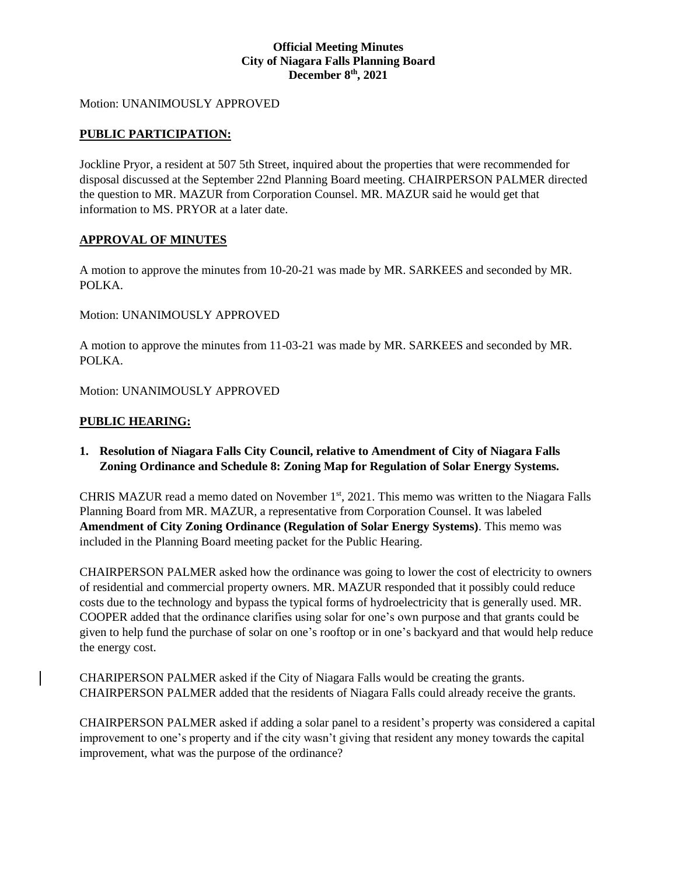### Motion: UNANIMOUSLY APPROVED

# **PUBLIC PARTICIPATION:**

Jockline Pryor, a resident at 507 5th Street, inquired about the properties that were recommended for disposal discussed at the September 22nd Planning Board meeting. CHAIRPERSON PALMER directed the question to MR. MAZUR from Corporation Counsel. MR. MAZUR said he would get that information to MS. PRYOR at a later date.

# **APPROVAL OF MINUTES**

A motion to approve the minutes from 10-20-21 was made by MR. SARKEES and seconded by MR. POLKA.

Motion: UNANIMOUSLY APPROVED

A motion to approve the minutes from 11-03-21 was made by MR. SARKEES and seconded by MR. POLKA.

Motion: UNANIMOUSLY APPROVED

# **PUBLIC HEARING:**

**1. Resolution of Niagara Falls City Council, relative to Amendment of City of Niagara Falls Zoning Ordinance and Schedule 8: Zoning Map for Regulation of Solar Energy Systems.**

CHRIS MAZUR read a memo dated on November 1<sup>st</sup>, 2021. This memo was written to the Niagara Falls Planning Board from MR. MAZUR, a representative from Corporation Counsel. It was labeled **Amendment of City Zoning Ordinance (Regulation of Solar Energy Systems)**. This memo was included in the Planning Board meeting packet for the Public Hearing.

CHAIRPERSON PALMER asked how the ordinance was going to lower the cost of electricity to owners of residential and commercial property owners. MR. MAZUR responded that it possibly could reduce costs due to the technology and bypass the typical forms of hydroelectricity that is generally used. MR. COOPER added that the ordinance clarifies using solar for one's own purpose and that grants could be given to help fund the purchase of solar on one's rooftop or in one's backyard and that would help reduce the energy cost.

CHARIPERSON PALMER asked if the City of Niagara Falls would be creating the grants. CHAIRPERSON PALMER added that the residents of Niagara Falls could already receive the grants.

CHAIRPERSON PALMER asked if adding a solar panel to a resident's property was considered a capital improvement to one's property and if the city wasn't giving that resident any money towards the capital improvement, what was the purpose of the ordinance?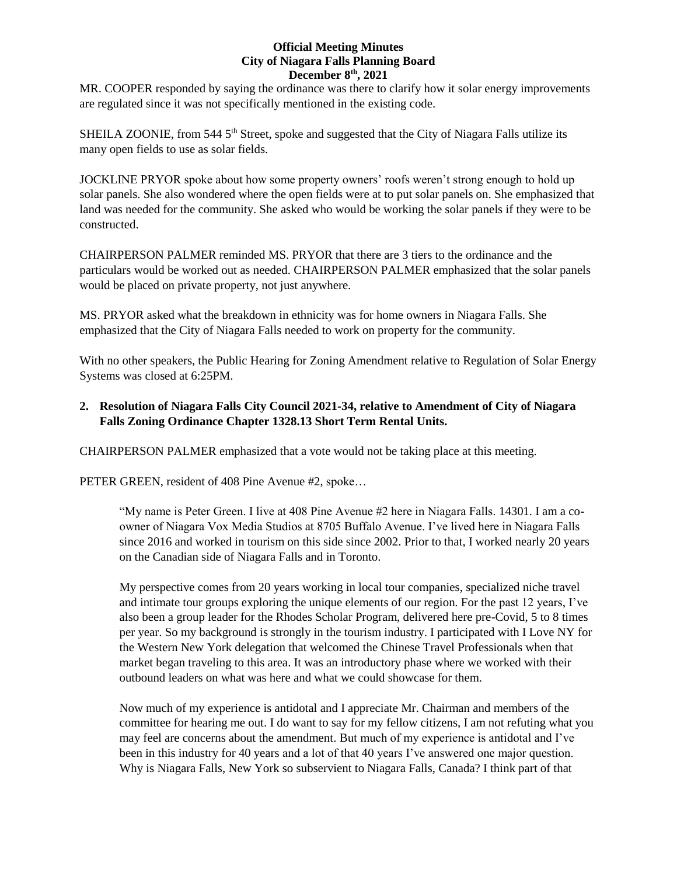MR. COOPER responded by saying the ordinance was there to clarify how it solar energy improvements are regulated since it was not specifically mentioned in the existing code.

SHEILA ZOONIE, from 544 5<sup>th</sup> Street, spoke and suggested that the City of Niagara Falls utilize its many open fields to use as solar fields.

JOCKLINE PRYOR spoke about how some property owners' roofs weren't strong enough to hold up solar panels. She also wondered where the open fields were at to put solar panels on. She emphasized that land was needed for the community. She asked who would be working the solar panels if they were to be constructed.

CHAIRPERSON PALMER reminded MS. PRYOR that there are 3 tiers to the ordinance and the particulars would be worked out as needed. CHAIRPERSON PALMER emphasized that the solar panels would be placed on private property, not just anywhere.

MS. PRYOR asked what the breakdown in ethnicity was for home owners in Niagara Falls. She emphasized that the City of Niagara Falls needed to work on property for the community.

With no other speakers, the Public Hearing for Zoning Amendment relative to Regulation of Solar Energy Systems was closed at 6:25PM.

# **2. Resolution of Niagara Falls City Council 2021-34, relative to Amendment of City of Niagara Falls Zoning Ordinance Chapter 1328.13 Short Term Rental Units.**

CHAIRPERSON PALMER emphasized that a vote would not be taking place at this meeting.

PETER GREEN, resident of 408 Pine Avenue #2, spoke…

"My name is Peter Green. I live at 408 Pine Avenue #2 here in Niagara Falls. 14301. I am a coowner of Niagara Vox Media Studios at 8705 Buffalo Avenue. I've lived here in Niagara Falls since 2016 and worked in tourism on this side since 2002. Prior to that, I worked nearly 20 years on the Canadian side of Niagara Falls and in Toronto.

My perspective comes from 20 years working in local tour companies, specialized niche travel and intimate tour groups exploring the unique elements of our region. For the past 12 years, I've also been a group leader for the Rhodes Scholar Program, delivered here pre-Covid, 5 to 8 times per year. So my background is strongly in the tourism industry. I participated with I Love NY for the Western New York delegation that welcomed the Chinese Travel Professionals when that market began traveling to this area. It was an introductory phase where we worked with their outbound leaders on what was here and what we could showcase for them.

Now much of my experience is antidotal and I appreciate Mr. Chairman and members of the committee for hearing me out. I do want to say for my fellow citizens, I am not refuting what you may feel are concerns about the amendment. But much of my experience is antidotal and I've been in this industry for 40 years and a lot of that 40 years I've answered one major question. Why is Niagara Falls, New York so subservient to Niagara Falls, Canada? I think part of that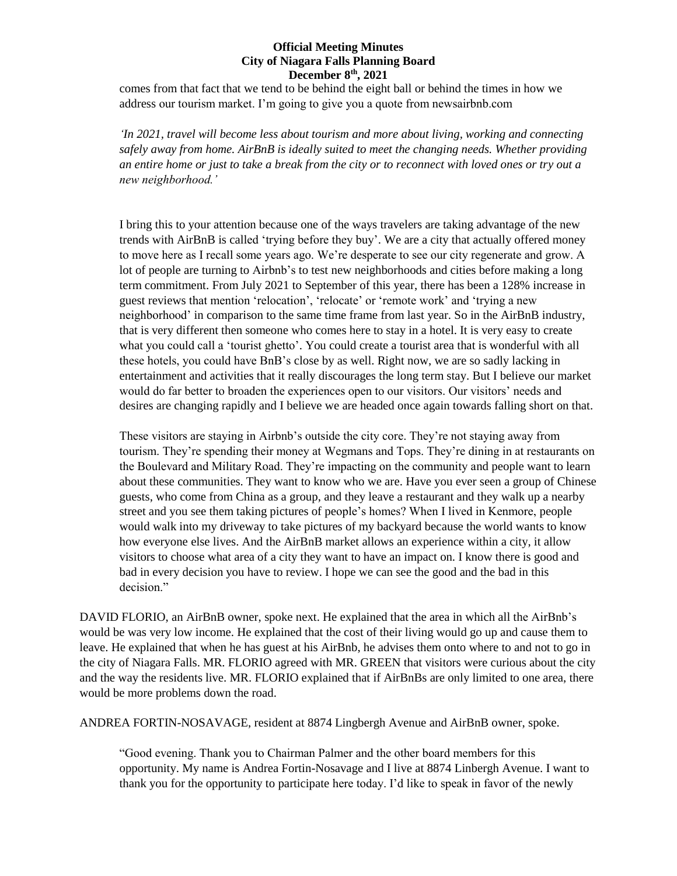comes from that fact that we tend to be behind the eight ball or behind the times in how we address our tourism market. I'm going to give you a quote from newsairbnb.com

*'In 2021, travel will become less about tourism and more about living, working and connecting safely away from home. AirBnB is ideally suited to meet the changing needs. Whether providing an entire home or just to take a break from the city or to reconnect with loved ones or try out a new neighborhood.'*

I bring this to your attention because one of the ways travelers are taking advantage of the new trends with AirBnB is called 'trying before they buy'. We are a city that actually offered money to move here as I recall some years ago. We're desperate to see our city regenerate and grow. A lot of people are turning to Airbnb's to test new neighborhoods and cities before making a long term commitment. From July 2021 to September of this year, there has been a 128% increase in guest reviews that mention 'relocation', 'relocate' or 'remote work' and 'trying a new neighborhood' in comparison to the same time frame from last year. So in the AirBnB industry, that is very different then someone who comes here to stay in a hotel. It is very easy to create what you could call a 'tourist ghetto'. You could create a tourist area that is wonderful with all these hotels, you could have BnB's close by as well. Right now, we are so sadly lacking in entertainment and activities that it really discourages the long term stay. But I believe our market would do far better to broaden the experiences open to our visitors. Our visitors' needs and desires are changing rapidly and I believe we are headed once again towards falling short on that.

These visitors are staying in Airbnb's outside the city core. They're not staying away from tourism. They're spending their money at Wegmans and Tops. They're dining in at restaurants on the Boulevard and Military Road. They're impacting on the community and people want to learn about these communities. They want to know who we are. Have you ever seen a group of Chinese guests, who come from China as a group, and they leave a restaurant and they walk up a nearby street and you see them taking pictures of people's homes? When I lived in Kenmore, people would walk into my driveway to take pictures of my backyard because the world wants to know how everyone else lives. And the AirBnB market allows an experience within a city, it allow visitors to choose what area of a city they want to have an impact on. I know there is good and bad in every decision you have to review. I hope we can see the good and the bad in this decision."

DAVID FLORIO, an AirBnB owner, spoke next. He explained that the area in which all the AirBnb's would be was very low income. He explained that the cost of their living would go up and cause them to leave. He explained that when he has guest at his AirBnb, he advises them onto where to and not to go in the city of Niagara Falls. MR. FLORIO agreed with MR. GREEN that visitors were curious about the city and the way the residents live. MR. FLORIO explained that if AirBnBs are only limited to one area, there would be more problems down the road.

ANDREA FORTIN-NOSAVAGE, resident at 8874 Lingbergh Avenue and AirBnB owner, spoke.

"Good evening. Thank you to Chairman Palmer and the other board members for this opportunity. My name is Andrea Fortin-Nosavage and I live at 8874 Linbergh Avenue. I want to thank you for the opportunity to participate here today. I'd like to speak in favor of the newly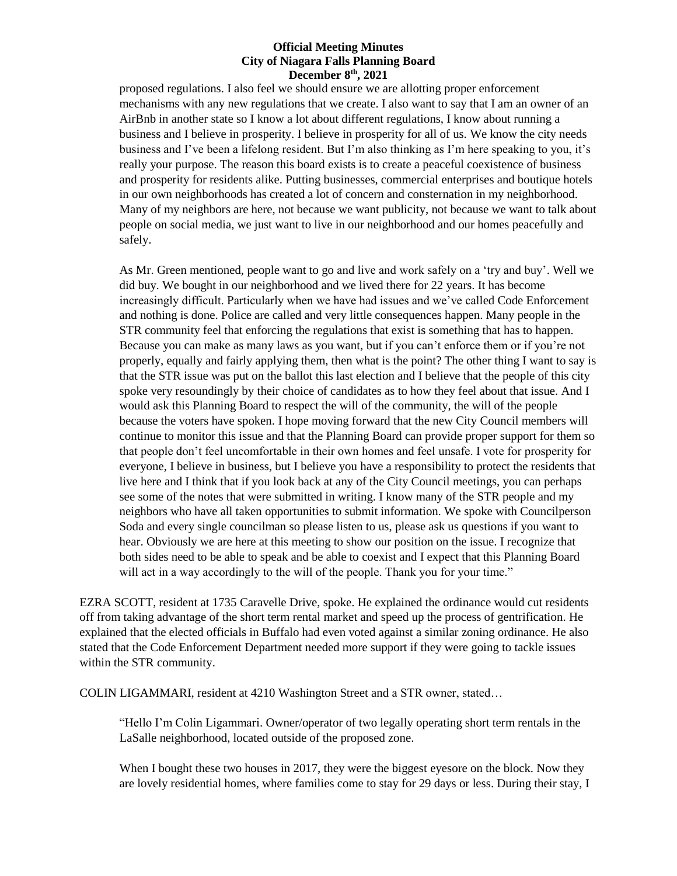proposed regulations. I also feel we should ensure we are allotting proper enforcement mechanisms with any new regulations that we create. I also want to say that I am an owner of an AirBnb in another state so I know a lot about different regulations, I know about running a business and I believe in prosperity. I believe in prosperity for all of us. We know the city needs business and I've been a lifelong resident. But I'm also thinking as I'm here speaking to you, it's really your purpose. The reason this board exists is to create a peaceful coexistence of business and prosperity for residents alike. Putting businesses, commercial enterprises and boutique hotels in our own neighborhoods has created a lot of concern and consternation in my neighborhood. Many of my neighbors are here, not because we want publicity, not because we want to talk about people on social media, we just want to live in our neighborhood and our homes peacefully and safely.

As Mr. Green mentioned, people want to go and live and work safely on a 'try and buy'. Well we did buy. We bought in our neighborhood and we lived there for 22 years. It has become increasingly difficult. Particularly when we have had issues and we've called Code Enforcement and nothing is done. Police are called and very little consequences happen. Many people in the STR community feel that enforcing the regulations that exist is something that has to happen. Because you can make as many laws as you want, but if you can't enforce them or if you're not properly, equally and fairly applying them, then what is the point? The other thing I want to say is that the STR issue was put on the ballot this last election and I believe that the people of this city spoke very resoundingly by their choice of candidates as to how they feel about that issue. And I would ask this Planning Board to respect the will of the community, the will of the people because the voters have spoken. I hope moving forward that the new City Council members will continue to monitor this issue and that the Planning Board can provide proper support for them so that people don't feel uncomfortable in their own homes and feel unsafe. I vote for prosperity for everyone, I believe in business, but I believe you have a responsibility to protect the residents that live here and I think that if you look back at any of the City Council meetings, you can perhaps see some of the notes that were submitted in writing. I know many of the STR people and my neighbors who have all taken opportunities to submit information. We spoke with Councilperson Soda and every single councilman so please listen to us, please ask us questions if you want to hear. Obviously we are here at this meeting to show our position on the issue. I recognize that both sides need to be able to speak and be able to coexist and I expect that this Planning Board will act in a way accordingly to the will of the people. Thank you for your time."

EZRA SCOTT, resident at 1735 Caravelle Drive, spoke. He explained the ordinance would cut residents off from taking advantage of the short term rental market and speed up the process of gentrification. He explained that the elected officials in Buffalo had even voted against a similar zoning ordinance. He also stated that the Code Enforcement Department needed more support if they were going to tackle issues within the STR community.

COLIN LIGAMMARI, resident at 4210 Washington Street and a STR owner, stated…

"Hello I'm Colin Ligammari. Owner/operator of two legally operating short term rentals in the LaSalle neighborhood, located outside of the proposed zone.

When I bought these two houses in 2017, they were the biggest eyesore on the block. Now they are lovely residential homes, where families come to stay for 29 days or less. During their stay, I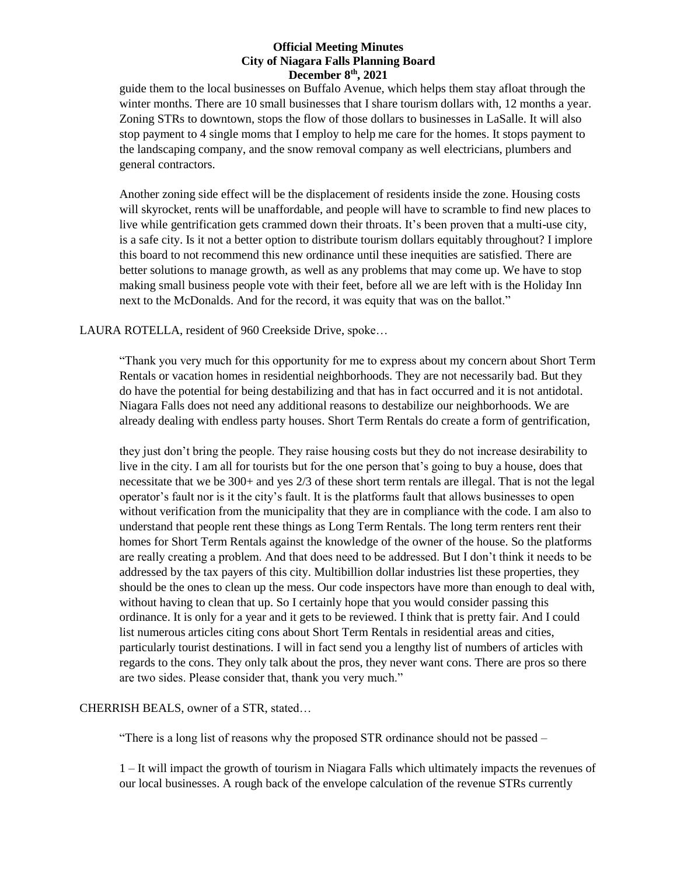guide them to the local businesses on Buffalo Avenue, which helps them stay afloat through the winter months. There are 10 small businesses that I share tourism dollars with, 12 months a year. Zoning STRs to downtown, stops the flow of those dollars to businesses in LaSalle. It will also stop payment to 4 single moms that I employ to help me care for the homes. It stops payment to the landscaping company, and the snow removal company as well electricians, plumbers and general contractors.

Another zoning side effect will be the displacement of residents inside the zone. Housing costs will skyrocket, rents will be unaffordable, and people will have to scramble to find new places to live while gentrification gets crammed down their throats. It's been proven that a multi-use city, is a safe city. Is it not a better option to distribute tourism dollars equitably throughout? I implore this board to not recommend this new ordinance until these inequities are satisfied. There are better solutions to manage growth, as well as any problems that may come up. We have to stop making small business people vote with their feet, before all we are left with is the Holiday Inn next to the McDonalds. And for the record, it was equity that was on the ballot."

LAURA ROTELLA, resident of 960 Creekside Drive, spoke…

"Thank you very much for this opportunity for me to express about my concern about Short Term Rentals or vacation homes in residential neighborhoods. They are not necessarily bad. But they do have the potential for being destabilizing and that has in fact occurred and it is not antidotal. Niagara Falls does not need any additional reasons to destabilize our neighborhoods. We are already dealing with endless party houses. Short Term Rentals do create a form of gentrification,

they just don't bring the people. They raise housing costs but they do not increase desirability to live in the city. I am all for tourists but for the one person that's going to buy a house, does that necessitate that we be 300+ and yes 2/3 of these short term rentals are illegal. That is not the legal operator's fault nor is it the city's fault. It is the platforms fault that allows businesses to open without verification from the municipality that they are in compliance with the code. I am also to understand that people rent these things as Long Term Rentals. The long term renters rent their homes for Short Term Rentals against the knowledge of the owner of the house. So the platforms are really creating a problem. And that does need to be addressed. But I don't think it needs to be addressed by the tax payers of this city. Multibillion dollar industries list these properties, they should be the ones to clean up the mess. Our code inspectors have more than enough to deal with, without having to clean that up. So I certainly hope that you would consider passing this ordinance. It is only for a year and it gets to be reviewed. I think that is pretty fair. And I could list numerous articles citing cons about Short Term Rentals in residential areas and cities, particularly tourist destinations. I will in fact send you a lengthy list of numbers of articles with regards to the cons. They only talk about the pros, they never want cons. There are pros so there are two sides. Please consider that, thank you very much."

# CHERRISH BEALS, owner of a STR, stated…

"There is a long list of reasons why the proposed STR ordinance should not be passed –

1 – It will impact the growth of tourism in Niagara Falls which ultimately impacts the revenues of our local businesses. A rough back of the envelope calculation of the revenue STRs currently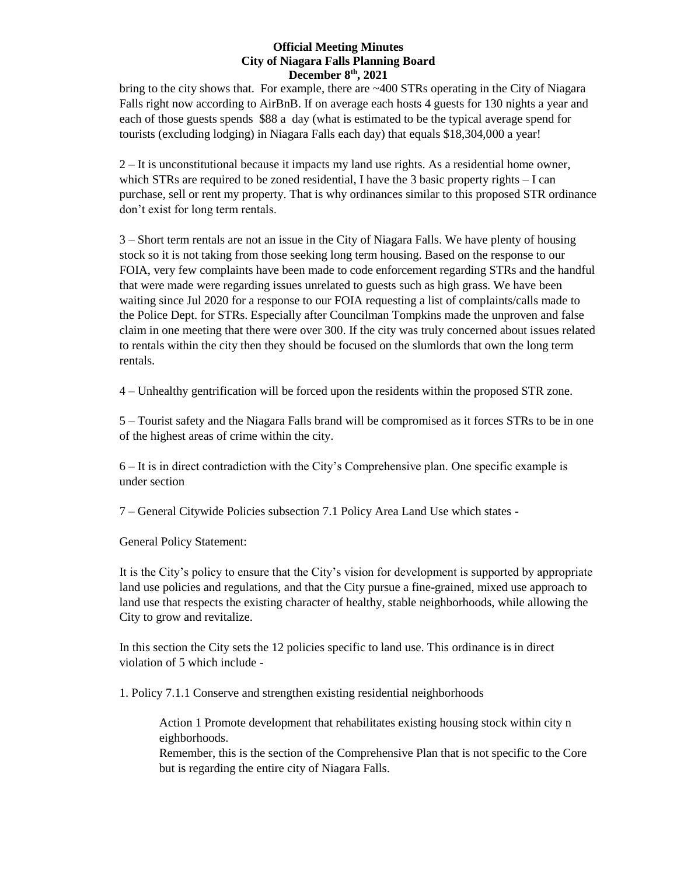bring to the city shows that. For example, there are  $\sim$ 400 STRs operating in the City of Niagara Falls right now according to AirBnB. If on average each hosts 4 guests for 130 nights a year and each of those guests spends \$88 a day (what is estimated to be the typical average spend for tourists (excluding lodging) in Niagara Falls each day) that equals \$18,304,000 a year!

2 – It is unconstitutional because it impacts my land use rights. As a residential home owner, which STRs are required to be zoned residential, I have the 3 basic property rights – I can purchase, sell or rent my property. That is why ordinances similar to this proposed STR ordinance don't exist for long term rentals.

3 – Short term rentals are not an issue in the City of Niagara Falls. We have plenty of housing stock so it is not taking from those seeking long term housing. Based on the response to our FOIA, very few complaints have been made to code enforcement regarding STRs and the handful that were made were regarding issues unrelated to guests such as high grass. We have been waiting since Jul 2020 for a response to our FOIA requesting a list of complaints/calls made to the Police Dept. for STRs. Especially after Councilman Tompkins made the unproven and false claim in one meeting that there were over 300. If the city was truly concerned about issues related to rentals within the city then they should be focused on the slumlords that own the long term rentals.

4 – Unhealthy gentrification will be forced upon the residents within the proposed STR zone.

5 – Tourist safety and the Niagara Falls brand will be compromised as it forces STRs to be in one of the highest areas of crime within the city.

6 – It is in direct contradiction with the City's Comprehensive plan. One specific example is under section

7 – General Citywide Policies subsection 7.1 Policy Area Land Use which states -

General Policy Statement:

It is the City's policy to ensure that the City's vision for development is supported by appropriate land use policies and regulations, and that the City pursue a fine-grained, mixed use approach to land use that respects the existing character of healthy, stable neighborhoods, while allowing the City to grow and revitalize.

In this section the City sets the 12 policies specific to land use. This ordinance is in direct violation of 5 which include -

1. Policy 7.1.1 Conserve and strengthen existing residential neighborhoods

Action 1 Promote development that rehabilitates existing housing stock within city n eighborhoods.

Remember, this is the section of the Comprehensive Plan that is not specific to the Core but is regarding the entire city of Niagara Falls.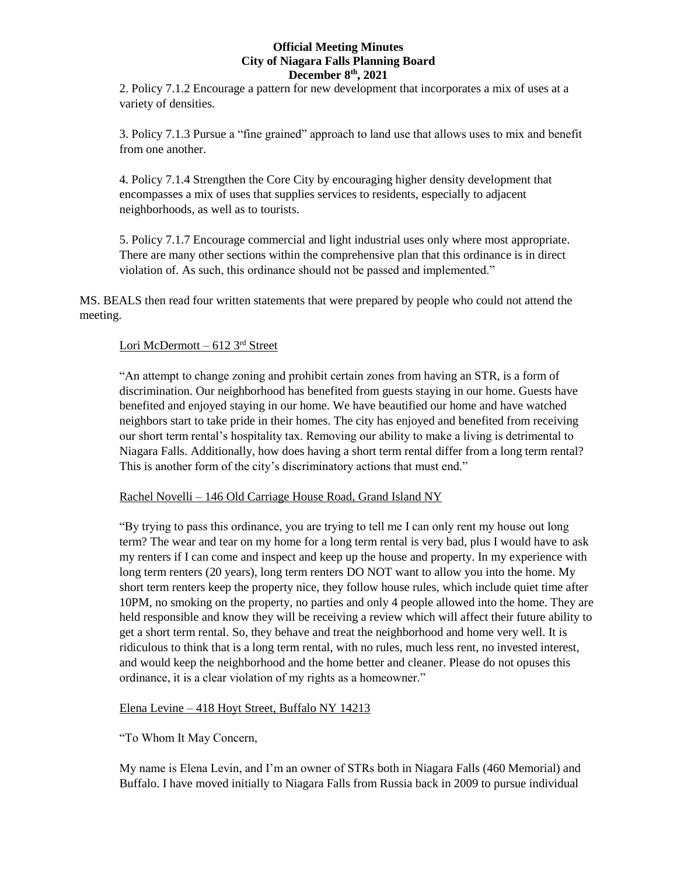2. Policy 7.1.2 Encourage a pattern for new development that incorporates a mix of uses at a variety of densities.

3. Policy 7.1.3 Pursue a "fine grained" approach to land use that allows uses to mix and benefit from one another.

4. Policy 7.1.4 Strengthen the Core City by encouraging higher density development that encompasses a mix of uses that supplies services to residents, especially to adjacent neighborhoods, as well as to tourists.

5. Policy 7.1.7 Encourage commercial and light industrial uses only where most appropriate. There are many other sections within the comprehensive plan that this ordinance is in direct violation of. As such, this ordinance should not be passed and implemented."

MS. BEALS then read four written statements that were prepared by people who could not attend the meeting.

## Lori McDermott – 612 3rd Street

"An attempt to change zoning and prohibit certain zones from having an STR, is a form of discrimination. Our neighborhood has benefited from guests staying in our home. Guests have benefited and enjoyed staying in our home. We have beautified our home and have watched neighbors start to take pride in their homes. The city has enjoyed and benefited from receiving our short term rental's hospitality tax. Removing our ability to make a living is detrimental to Niagara Falls. Additionally, how does having a short term rental differ from a long term rental? This is another form of the city's discriminatory actions that must end."

#### Rachel Novelli – 146 Old Carriage House Road, Grand Island NY

"By trying to pass this ordinance, you are trying to tell me I can only rent my house out long term? The wear and tear on my home for a long term rental is very bad, plus I would have to ask my renters if I can come and inspect and keep up the house and property. In my experience with long term renters (20 years), long term renters DO NOT want to allow you into the home. My short term renters keep the property nice, they follow house rules, which include quiet time after 10PM, no smoking on the property, no parties and only 4 people allowed into the home. They are held responsible and know they will be receiving a review which will affect their future ability to get a short term rental. So, they behave and treat the neighborhood and home very well. It is ridiculous to think that is a long term rental, with no rules, much less rent, no invested interest, and would keep the neighborhood and the home better and cleaner. Please do not opuses this ordinance, it is a clear violation of my rights as a homeowner."

### Elena Levine – 418 Hoyt Street, Buffalo NY 14213

"To Whom It May Concern,

My name is Elena Levin, and I'm an owner of STRs both in Niagara Falls (460 Memorial) and Buffalo. I have moved initially to Niagara Falls from Russia back in 2009 to pursue individual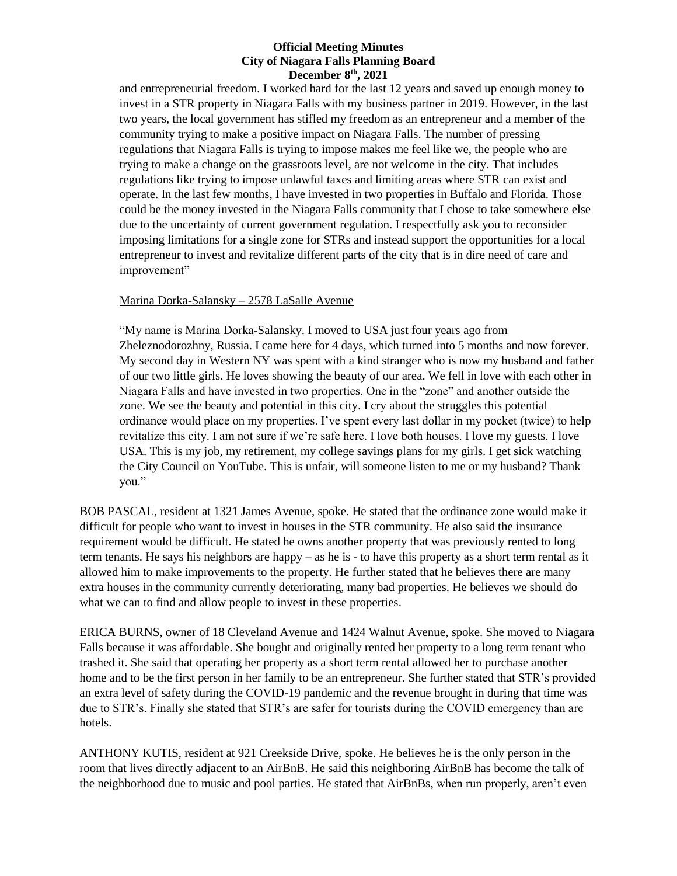and entrepreneurial freedom. I worked hard for the last 12 years and saved up enough money to invest in a STR property in Niagara Falls with my business partner in 2019. However, in the last two years, the local government has stifled my freedom as an entrepreneur and a member of the community trying to make a positive impact on Niagara Falls. The number of pressing regulations that Niagara Falls is trying to impose makes me feel like we, the people who are trying to make a change on the grassroots level, are not welcome in the city. That includes regulations like trying to impose unlawful taxes and limiting areas where STR can exist and operate. In the last few months, I have invested in two properties in Buffalo and Florida. Those could be the money invested in the Niagara Falls community that I chose to take somewhere else due to the uncertainty of current government regulation. I respectfully ask you to reconsider imposing limitations for a single zone for STRs and instead support the opportunities for a local entrepreneur to invest and revitalize different parts of the city that is in dire need of care and improvement"

# Marina Dorka-Salansky – 2578 LaSalle Avenue

"My name is Marina Dorka-Salansky. I moved to USA just four years ago from Zheleznodorozhny, Russia. I came here for 4 days, which turned into 5 months and now forever. My second day in Western NY was spent with a kind stranger who is now my husband and father of our two little girls. He loves showing the beauty of our area. We fell in love with each other in Niagara Falls and have invested in two properties. One in the "zone" and another outside the zone. We see the beauty and potential in this city. I cry about the struggles this potential ordinance would place on my properties. I've spent every last dollar in my pocket (twice) to help revitalize this city. I am not sure if we're safe here. I love both houses. I love my guests. I love USA. This is my job, my retirement, my college savings plans for my girls. I get sick watching the City Council on YouTube. This is unfair, will someone listen to me or my husband? Thank you."

BOB PASCAL, resident at 1321 James Avenue, spoke. He stated that the ordinance zone would make it difficult for people who want to invest in houses in the STR community. He also said the insurance requirement would be difficult. He stated he owns another property that was previously rented to long term tenants. He says his neighbors are happy – as he is - to have this property as a short term rental as it allowed him to make improvements to the property. He further stated that he believes there are many extra houses in the community currently deteriorating, many bad properties. He believes we should do what we can to find and allow people to invest in these properties.

ERICA BURNS, owner of 18 Cleveland Avenue and 1424 Walnut Avenue, spoke. She moved to Niagara Falls because it was affordable. She bought and originally rented her property to a long term tenant who trashed it. She said that operating her property as a short term rental allowed her to purchase another home and to be the first person in her family to be an entrepreneur. She further stated that STR's provided an extra level of safety during the COVID-19 pandemic and the revenue brought in during that time was due to STR's. Finally she stated that STR's are safer for tourists during the COVID emergency than are hotels.

ANTHONY KUTIS, resident at 921 Creekside Drive, spoke. He believes he is the only person in the room that lives directly adjacent to an AirBnB. He said this neighboring AirBnB has become the talk of the neighborhood due to music and pool parties. He stated that AirBnBs, when run properly, aren't even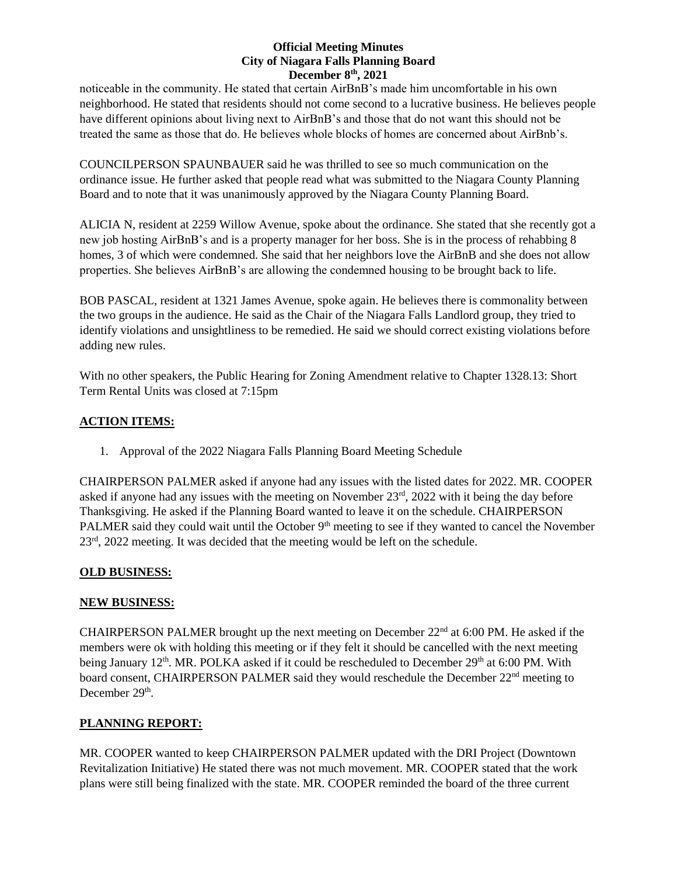noticeable in the community. He stated that certain AirBnB's made him uncomfortable in his own neighborhood. He stated that residents should not come second to a lucrative business. He believes people have different opinions about living next to AirBnB's and those that do not want this should not be treated the same as those that do. He believes whole blocks of homes are concerned about AirBnb's.

COUNCILPERSON SPAUNBAUER said he was thrilled to see so much communication on the ordinance issue. He further asked that people read what was submitted to the Niagara County Planning Board and to note that it was unanimously approved by the Niagara County Planning Board.

ALICIA N, resident at 2259 Willow Avenue, spoke about the ordinance. She stated that she recently got a new job hosting AirBnB's and is a property manager for her boss. She is in the process of rehabbing 8 homes, 3 of which were condemned. She said that her neighbors love the AirBnB and she does not allow properties. She believes AirBnB's are allowing the condemned housing to be brought back to life.

BOB PASCAL, resident at 1321 James Avenue, spoke again. He believes there is commonality between the two groups in the audience. He said as the Chair of the Niagara Falls Landlord group, they tried to identify violations and unsightliness to be remedied. He said we should correct existing violations before adding new rules.

With no other speakers, the Public Hearing for Zoning Amendment relative to Chapter 1328.13: Short Term Rental Units was closed at 7:15pm

# **ACTION ITEMS:**

1. Approval of the 2022 Niagara Falls Planning Board Meeting Schedule

CHAIRPERSON PALMER asked if anyone had any issues with the listed dates for 2022. MR. COOPER asked if anyone had any issues with the meeting on November  $23<sup>rd</sup>$ , 2022 with it being the day before Thanksgiving. He asked if the Planning Board wanted to leave it on the schedule. CHAIRPERSON PALMER said they could wait until the October 9<sup>th</sup> meeting to see if they wanted to cancel the November 23<sup>rd</sup>, 2022 meeting. It was decided that the meeting would be left on the schedule.

# **OLD BUSINESS:**

# **NEW BUSINESS:**

CHAIRPERSON PALMER brought up the next meeting on December 22nd at 6:00 PM. He asked if the members were ok with holding this meeting or if they felt it should be cancelled with the next meeting being January 12<sup>th</sup>. MR. POLKA asked if it could be rescheduled to December 29<sup>th</sup> at 6:00 PM. With board consent, CHAIRPERSON PALMER said they would reschedule the December 22<sup>nd</sup> meeting to December 29<sup>th</sup>.

# **PLANNING REPORT:**

MR. COOPER wanted to keep CHAIRPERSON PALMER updated with the DRI Project (Downtown Revitalization Initiative) He stated there was not much movement. MR. COOPER stated that the work plans were still being finalized with the state. MR. COOPER reminded the board of the three current